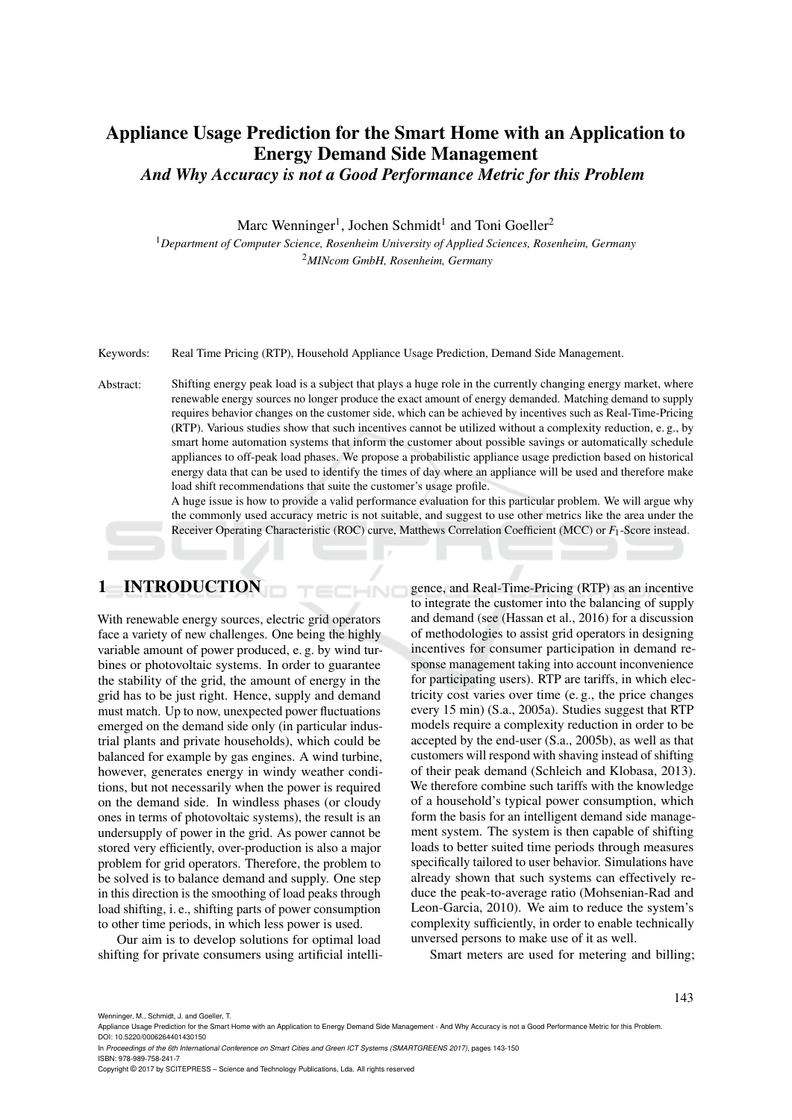# Appliance Usage Prediction for the Smart Home with an Application to Energy Demand Side Management *And Why Accuracy is not a Good Performance Metric for this Problem*

Marc Wenninger<sup>1</sup>, Jochen Schmidt<sup>1</sup> and Toni Goeller<sup>2</sup>

<sup>1</sup>*Department of Computer Science, Rosenheim University of Applied Sciences, Rosenheim, Germany* <sup>2</sup>*MINcom GmbH, Rosenheim, Germany*

Keywords: Real Time Pricing (RTP), Household Appliance Usage Prediction, Demand Side Management.

Abstract: Shifting energy peak load is a subject that plays a huge role in the currently changing energy market, where renewable energy sources no longer produce the exact amount of energy demanded. Matching demand to supply requires behavior changes on the customer side, which can be achieved by incentives such as Real-Time-Pricing (RTP). Various studies show that such incentives cannot be utilized without a complexity reduction, e. g., by smart home automation systems that inform the customer about possible savings or automatically schedule appliances to off-peak load phases. We propose a probabilistic appliance usage prediction based on historical energy data that can be used to identify the times of day where an appliance will be used and therefore make load shift recommendations that suite the customer's usage profile.

**HNC** 

A huge issue is how to provide a valid performance evaluation for this particular problem. We will argue why the commonly used accuracy metric is not suitable, and suggest to use other metrics like the area under the Receiver Operating Characteristic (ROC) curve, Matthews Correlation Coefficient (MCC) or *F*1-Score instead.

# 1 INTRODUCTION

With renewable energy sources, electric grid operators face a variety of new challenges. One being the highly variable amount of power produced, e. g. by wind turbines or photovoltaic systems. In order to guarantee the stability of the grid, the amount of energy in the grid has to be just right. Hence, supply and demand must match. Up to now, unexpected power fluctuations emerged on the demand side only (in particular industrial plants and private households), which could be balanced for example by gas engines. A wind turbine, however, generates energy in windy weather conditions, but not necessarily when the power is required on the demand side. In windless phases (or cloudy ones in terms of photovoltaic systems), the result is an undersupply of power in the grid. As power cannot be stored very efficiently, over-production is also a major problem for grid operators. Therefore, the problem to be solved is to balance demand and supply. One step in this direction is the smoothing of load peaks through load shifting, i. e., shifting parts of power consumption to other time periods, in which less power is used.

Our aim is to develop solutions for optimal load shifting for private consumers using artificial intelligence, and Real-Time-Pricing (RTP) as an incentive to integrate the customer into the balancing of supply and demand (see (Hassan et al., 2016) for a discussion of methodologies to assist grid operators in designing incentives for consumer participation in demand response management taking into account inconvenience for participating users). RTP are tariffs, in which electricity cost varies over time (e. g., the price changes every 15 min) (S.a., 2005a). Studies suggest that RTP models require a complexity reduction in order to be accepted by the end-user (S.a., 2005b), as well as that customers will respond with shaving instead of shifting of their peak demand (Schleich and Klobasa, 2013). We therefore combine such tariffs with the knowledge of a household's typical power consumption, which form the basis for an intelligent demand side management system. The system is then capable of shifting loads to better suited time periods through measures specifically tailored to user behavior. Simulations have already shown that such systems can effectively reduce the peak-to-average ratio (Mohsenian-Rad and Leon-Garcia, 2010). We aim to reduce the system's complexity sufficiently, in order to enable technically unversed persons to make use of it as well.

Smart meters are used for metering and billing;

Wenninger, M., Schmidt, J. and Goeller, T.

Copyright © 2017 by SCITEPRESS – Science and Technology Publications, Lda. All rights reserved

Appliance Usage Prediction for the Smart Home with an Application to Energy Demand Side Management - And Why Accuracy is not a Good Performance Metric for this Problem DOI: 10.5220/0006264401430150

In *Proceedings of the 6th International Conference on Smart Cities and Green ICT Systems (SMARTGREENS 2017)*, pages 143-150 ISBN: 978-989-758-241-7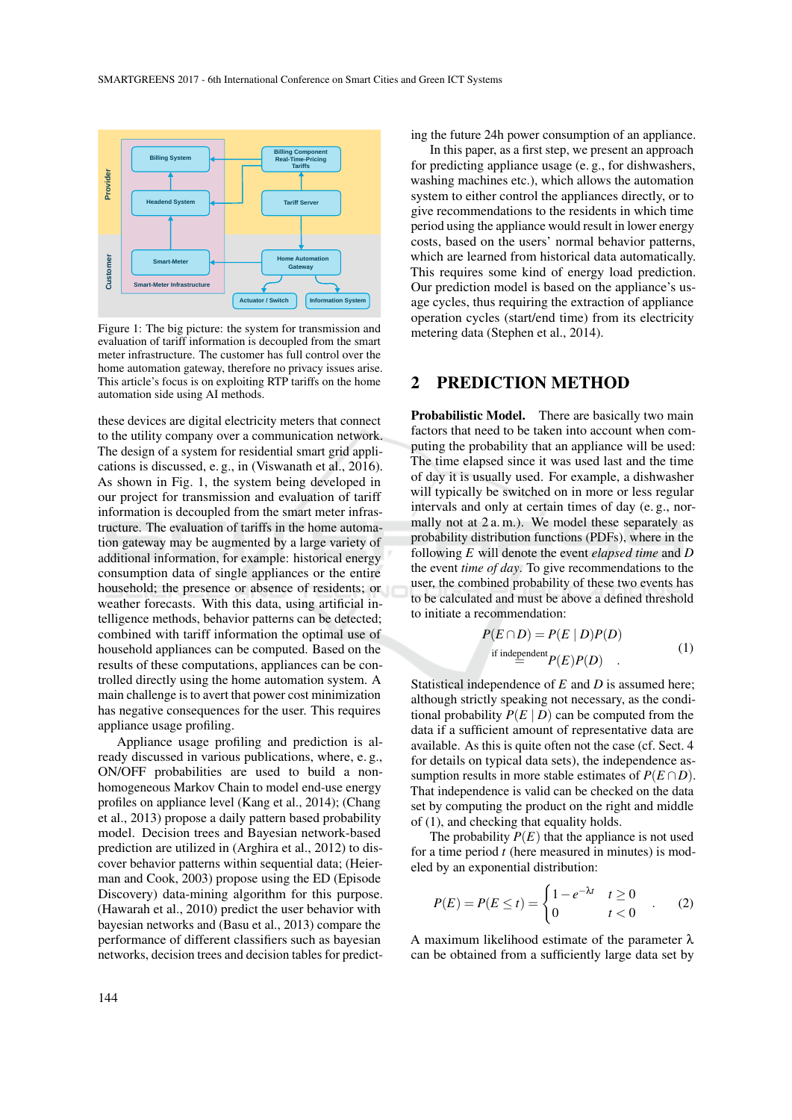

Figure 1: The big picture: the system for transmission and evaluation of tariff information is decoupled from the smart meter infrastructure. The customer has full control over the home automation gateway, therefore no privacy issues arise. This article's focus is on exploiting RTP tariffs on the home automation side using AI methods.

these devices are digital electricity meters that connect to the utility company over a communication network. The design of a system for residential smart grid applications is discussed, e. g., in (Viswanath et al., 2016). As shown in Fig. 1, the system being developed in our project for transmission and evaluation of tariff information is decoupled from the smart meter infrastructure. The evaluation of tariffs in the home automation gateway may be augmented by a large variety of additional information, for example: historical energy consumption data of single appliances or the entire household; the presence or absence of residents; or weather forecasts. With this data, using artificial intelligence methods, behavior patterns can be detected; combined with tariff information the optimal use of household appliances can be computed. Based on the results of these computations, appliances can be controlled directly using the home automation system. A main challenge is to avert that power cost minimization has negative consequences for the user. This requires appliance usage profiling.

Appliance usage profiling and prediction is already discussed in various publications, where, e. g., ON/OFF probabilities are used to build a nonhomogeneous Markov Chain to model end-use energy profiles on appliance level (Kang et al., 2014); (Chang et al., 2013) propose a daily pattern based probability model. Decision trees and Bayesian network-based prediction are utilized in (Arghira et al., 2012) to discover behavior patterns within sequential data; (Heierman and Cook, 2003) propose using the ED (Episode Discovery) data-mining algorithm for this purpose. (Hawarah et al., 2010) predict the user behavior with bayesian networks and (Basu et al., 2013) compare the performance of different classifiers such as bayesian networks, decision trees and decision tables for predicting the future 24h power consumption of an appliance.

In this paper, as a first step, we present an approach for predicting appliance usage (e. g., for dishwashers, washing machines etc.), which allows the automation system to either control the appliances directly, or to give recommendations to the residents in which time period using the appliance would result in lower energy costs, based on the users' normal behavior patterns, which are learned from historical data automatically. This requires some kind of energy load prediction. Our prediction model is based on the appliance's usage cycles, thus requiring the extraction of appliance operation cycles (start/end time) from its electricity metering data (Stephen et al., 2014).

#### 2 PREDICTION METHOD

Probabilistic Model. There are basically two main factors that need to be taken into account when computing the probability that an appliance will be used: The time elapsed since it was used last and the time of day it is usually used. For example, a dishwasher will typically be switched on in more or less regular intervals and only at certain times of day (e. g., normally not at 2 a. m.). We model these separately as probability distribution functions (PDFs), where in the following *E* will denote the event *elapsed time* and *D* the event *time of day*. To give recommendations to the user, the combined probability of these two events has to be calculated and must be above a defined threshold to initiate a recommendation:

$$
P(E \cap D) = P(E | D)P(D)
$$
  
if independent  

$$
P(E)P(D)
$$
 (1)

Statistical independence of *E* and *D* is assumed here; although strictly speaking not necessary, as the conditional probability  $P(E | D)$  can be computed from the data if a sufficient amount of representative data are available. As this is quite often not the case (cf. Sect. 4 for details on typical data sets), the independence assumption results in more stable estimates of  $P(E \cap D)$ . That independence is valid can be checked on the data set by computing the product on the right and middle of (1), and checking that equality holds.

The probability  $P(E)$  that the appliance is not used for a time period *t* (here measured in minutes) is modeled by an exponential distribution:

$$
P(E) = P(E \le t) = \begin{cases} 1 - e^{-\lambda t} & t \ge 0 \\ 0 & t < 0 \end{cases}
$$
 (2)

A maximum likelihood estimate of the parameter  $\lambda$ can be obtained from a sufficiently large data set by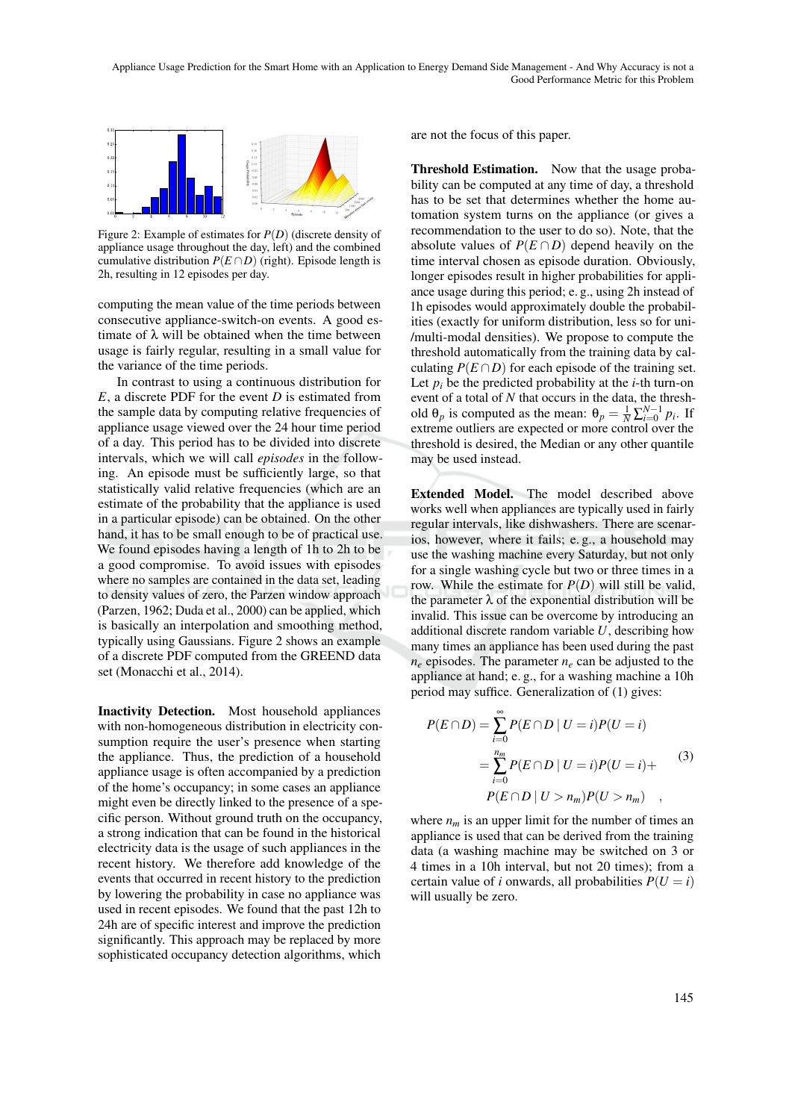

Figure 2: Example of estimates for *P*(*D*) (discrete density of appliance usage throughout the day, left) and the combined cumulative distribution  $P(E \cap D)$  (right). Episode length is 2h, resulting in 12 episodes per day.

computing the mean value of the time periods between consecutive appliance-switch-on events. A good estimate of  $\lambda$  will be obtained when the time between usage is fairly regular, resulting in a small value for the variance of the time periods.

In contrast to using a continuous distribution for *E*, a discrete PDF for the event *D* is estimated from the sample data by computing relative frequencies of appliance usage viewed over the 24 hour time period of a day. This period has to be divided into discrete intervals, which we will call *episodes* in the following. An episode must be sufficiently large, so that statistically valid relative frequencies (which are an estimate of the probability that the appliance is used in a particular episode) can be obtained. On the other hand, it has to be small enough to be of practical use. We found episodes having a length of 1h to 2h to be a good compromise. To avoid issues with episodes where no samples are contained in the data set, leading to density values of zero, the Parzen window approach (Parzen, 1962; Duda et al., 2000) can be applied, which is basically an interpolation and smoothing method, typically using Gaussians. Figure 2 shows an example of a discrete PDF computed from the GREEND data set (Monacchi et al., 2014).

Inactivity Detection. Most household appliances with non-homogeneous distribution in electricity consumption require the user's presence when starting the appliance. Thus, the prediction of a household appliance usage is often accompanied by a prediction of the home's occupancy; in some cases an appliance might even be directly linked to the presence of a specific person. Without ground truth on the occupancy, a strong indication that can be found in the historical electricity data is the usage of such appliances in the recent history. We therefore add knowledge of the events that occurred in recent history to the prediction by lowering the probability in case no appliance was used in recent episodes. We found that the past 12h to 24h are of specific interest and improve the prediction significantly. This approach may be replaced by more sophisticated occupancy detection algorithms, which

are not the focus of this paper.

Threshold Estimation. Now that the usage probability can be computed at any time of day, a threshold has to be set that determines whether the home automation system turns on the appliance (or gives a recommendation to the user to do so). Note, that the absolute values of  $P(E \cap D)$  depend heavily on the time interval chosen as episode duration. Obviously, longer episodes result in higher probabilities for appliance usage during this period; e. g., using 2h instead of 1h episodes would approximately double the probabilities (exactly for uniform distribution, less so for uni- /multi-modal densities). We propose to compute the threshold automatically from the training data by calculating  $P(E \cap D)$  for each episode of the training set. Let  $p_i$  be the predicted probability at the *i*-th turn-on event of a total of *N* that occurs in the data, the threshold  $\theta_p$  is computed as the mean:  $\theta_p = \frac{1}{N} \sum_{i=0}^{N-1} p_i$ . If extreme outliers are expected or more control over the threshold is desired, the Median or any other quantile may be used instead.

Extended Model. The model described above works well when appliances are typically used in fairly regular intervals, like dishwashers. There are scenarios, however, where it fails; e. g., a household may use the washing machine every Saturday, but not only for a single washing cycle but two or three times in a row. While the estimate for  $P(D)$  will still be valid, the parameter  $\lambda$  of the exponential distribution will be invalid. This issue can be overcome by introducing an additional discrete random variable *U*, describing how many times an appliance has been used during the past  $n_e$  episodes. The parameter  $n_e$  can be adjusted to the appliance at hand; e. g., for a washing machine a 10h period may suffice. Generalization of (1) gives:

$$
P(E \cap D) = \sum_{i=0}^{\infty} P(E \cap D \mid U = i) P(U = i)
$$
  
= 
$$
\sum_{i=0}^{n_m} P(E \cap D \mid U = i) P(U = i) +
$$
  

$$
P(E \cap D \mid U > n_m) P(U > n_m)
$$
 (3)

where  $n_m$  is an upper limit for the number of times an appliance is used that can be derived from the training data (a washing machine may be switched on 3 or 4 times in a 10h interval, but not 20 times); from a certain value of *i* onwards, all probabilities  $P(U = i)$ will usually be zero.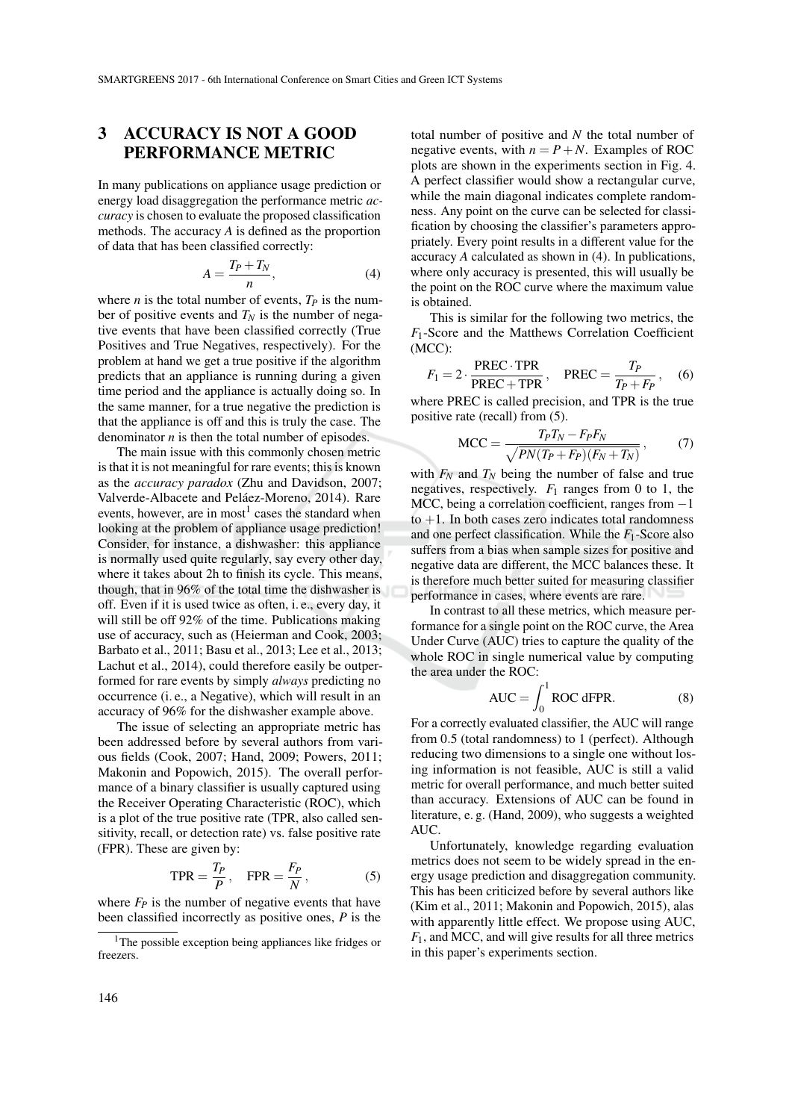# 3 ACCURACY IS NOT A GOOD PERFORMANCE METRIC

In many publications on appliance usage prediction or energy load disaggregation the performance metric *accuracy* is chosen to evaluate the proposed classification methods. The accuracy *A* is defined as the proportion of data that has been classified correctly:

$$
A = \frac{T_P + T_N}{n},\tag{4}
$$

where *n* is the total number of events,  $T_P$  is the number of positive events and  $T_N$  is the number of negative events that have been classified correctly (True Positives and True Negatives, respectively). For the problem at hand we get a true positive if the algorithm predicts that an appliance is running during a given time period and the appliance is actually doing so. In the same manner, for a true negative the prediction is that the appliance is off and this is truly the case. The denominator *n* is then the total number of episodes.

The main issue with this commonly chosen metric is that it is not meaningful for rare events; this is known as the *accuracy paradox* (Zhu and Davidson, 2007; Valverde-Albacete and Peláez-Moreno, 2014). Rare events, however, are in most<sup>1</sup> cases the standard when looking at the problem of appliance usage prediction! Consider, for instance, a dishwasher: this appliance is normally used quite regularly, say every other day, where it takes about 2h to finish its cycle. This means, though, that in 96% of the total time the dishwasher is off. Even if it is used twice as often, i. e., every day, it will still be off 92% of the time. Publications making use of accuracy, such as (Heierman and Cook, 2003; Barbato et al., 2011; Basu et al., 2013; Lee et al., 2013; Lachut et al., 2014), could therefore easily be outperformed for rare events by simply *always* predicting no occurrence (i. e., a Negative), which will result in an accuracy of 96% for the dishwasher example above.

The issue of selecting an appropriate metric has been addressed before by several authors from various fields (Cook, 2007; Hand, 2009; Powers, 2011; Makonin and Popowich, 2015). The overall performance of a binary classifier is usually captured using the Receiver Operating Characteristic (ROC), which is a plot of the true positive rate (TPR, also called sensitivity, recall, or detection rate) vs. false positive rate (FPR). These are given by:

$$
TPR = \frac{T_P}{P}, \quad FPR = \frac{F_P}{N}, \tag{5}
$$

where  $F_P$  is the number of negative events that have been classified incorrectly as positive ones, *P* is the

<sup>1</sup>The possible exception being appliances like fridges or freezers.

total number of positive and *N* the total number of negative events, with  $n = P + N$ . Examples of ROC plots are shown in the experiments section in Fig. 4. A perfect classifier would show a rectangular curve, while the main diagonal indicates complete randomness. Any point on the curve can be selected for classification by choosing the classifier's parameters appropriately. Every point results in a different value for the accuracy *A* calculated as shown in (4). In publications, where only accuracy is presented, this will usually be the point on the ROC curve where the maximum value is obtained.

This is similar for the following two metrics, the *F*1-Score and the Matthews Correlation Coefficient (MCC):

$$
F_1 = 2 \cdot \frac{\text{PREC} \cdot \text{TPR}}{\text{PREC} + \text{TPR}}, \quad \text{PREC} = \frac{T_P}{T_P + F_P}, \quad (6)
$$

where PREC is called precision, and TPR is the true positive rate (recall) from (5).

$$
\text{MCC} = \frac{T_P T_N - F_P F_N}{\sqrt{PN(T_P + F_P)(F_N + T_N)}},\tag{7}
$$

with  $F_N$  and  $T_N$  being the number of false and true negatives, respectively.  $F_1$  ranges from 0 to 1, the MCC, being a correlation coefficient, ranges from  $-1$  $to +1$ . In both cases zero indicates total randomness and one perfect classification. While the *F*1-Score also suffers from a bias when sample sizes for positive and negative data are different, the MCC balances these. It is therefore much better suited for measuring classifier performance in cases, where events are rare.

In contrast to all these metrics, which measure performance for a single point on the ROC curve, the Area Under Curve (AUC) tries to capture the quality of the whole ROC in single numerical value by computing the area under the ROC:

$$
AUC = \int_0^1 ROC \, dFPR.
$$
 (8)

For a correctly evaluated classifier, the AUC will range from 0.5 (total randomness) to 1 (perfect). Although reducing two dimensions to a single one without losing information is not feasible, AUC is still a valid metric for overall performance, and much better suited than accuracy. Extensions of AUC can be found in literature, e. g. (Hand, 2009), who suggests a weighted AUC.

Unfortunately, knowledge regarding evaluation metrics does not seem to be widely spread in the energy usage prediction and disaggregation community. This has been criticized before by several authors like (Kim et al., 2011; Makonin and Popowich, 2015), alas with apparently little effect. We propose using AUC, *F*1, and MCC, and will give results for all three metrics in this paper's experiments section.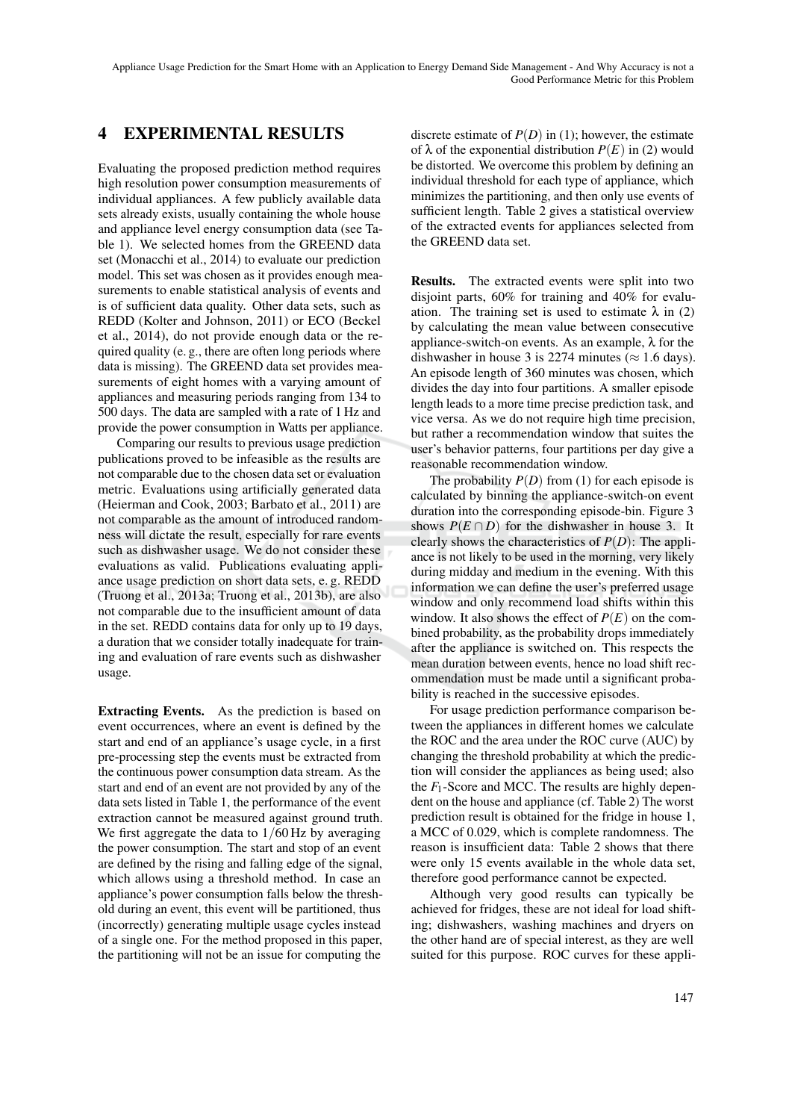# 4 EXPERIMENTAL RESULTS

Evaluating the proposed prediction method requires high resolution power consumption measurements of individual appliances. A few publicly available data sets already exists, usually containing the whole house and appliance level energy consumption data (see Table 1). We selected homes from the GREEND data set (Monacchi et al., 2014) to evaluate our prediction model. This set was chosen as it provides enough measurements to enable statistical analysis of events and is of sufficient data quality. Other data sets, such as REDD (Kolter and Johnson, 2011) or ECO (Beckel et al., 2014), do not provide enough data or the required quality (e. g., there are often long periods where data is missing). The GREEND data set provides measurements of eight homes with a varying amount of appliances and measuring periods ranging from 134 to 500 days. The data are sampled with a rate of 1 Hz and provide the power consumption in Watts per appliance.

Comparing our results to previous usage prediction publications proved to be infeasible as the results are not comparable due to the chosen data set or evaluation metric. Evaluations using artificially generated data (Heierman and Cook, 2003; Barbato et al., 2011) are not comparable as the amount of introduced randomness will dictate the result, especially for rare events such as dishwasher usage. We do not consider these evaluations as valid. Publications evaluating appliance usage prediction on short data sets, e. g. REDD (Truong et al., 2013a; Truong et al., 2013b), are also not comparable due to the insufficient amount of data in the set. REDD contains data for only up to 19 days, a duration that we consider totally inadequate for training and evaluation of rare events such as dishwasher usage.

Extracting Events. As the prediction is based on event occurrences, where an event is defined by the start and end of an appliance's usage cycle, in a first pre-processing step the events must be extracted from the continuous power consumption data stream. As the start and end of an event are not provided by any of the data sets listed in Table 1, the performance of the event extraction cannot be measured against ground truth. We first aggregate the data to  $1/60$  Hz by averaging the power consumption. The start and stop of an event are defined by the rising and falling edge of the signal, which allows using a threshold method. In case an appliance's power consumption falls below the threshold during an event, this event will be partitioned, thus (incorrectly) generating multiple usage cycles instead of a single one. For the method proposed in this paper, the partitioning will not be an issue for computing the

discrete estimate of  $P(D)$  in (1); however, the estimate of  $\lambda$  of the exponential distribution  $P(E)$  in (2) would be distorted. We overcome this problem by defining an individual threshold for each type of appliance, which minimizes the partitioning, and then only use events of sufficient length. Table 2 gives a statistical overview of the extracted events for appliances selected from the GREEND data set.

Results. The extracted events were split into two disjoint parts, 60% for training and 40% for evaluation. The training set is used to estimate  $\lambda$  in (2) by calculating the mean value between consecutive appliance-switch-on events. As an example,  $\lambda$  for the dishwasher in house 3 is 2274 minutes ( $\approx$  1.6 days). An episode length of 360 minutes was chosen, which divides the day into four partitions. A smaller episode length leads to a more time precise prediction task, and vice versa. As we do not require high time precision, but rather a recommendation window that suites the user's behavior patterns, four partitions per day give a reasonable recommendation window.

The probability  $P(D)$  from (1) for each episode is calculated by binning the appliance-switch-on event duration into the corresponding episode-bin. Figure 3 shows  $P(E \cap D)$  for the dishwasher in house 3. It clearly shows the characteristics of *P*(*D*): The appliance is not likely to be used in the morning, very likely during midday and medium in the evening. With this information we can define the user's preferred usage window and only recommend load shifts within this window. It also shows the effect of  $P(E)$  on the combined probability, as the probability drops immediately after the appliance is switched on. This respects the mean duration between events, hence no load shift recommendation must be made until a significant probability is reached in the successive episodes.

For usage prediction performance comparison between the appliances in different homes we calculate the ROC and the area under the ROC curve (AUC) by changing the threshold probability at which the prediction will consider the appliances as being used; also the  $F_1$ -Score and MCC. The results are highly dependent on the house and appliance (cf. Table 2) The worst prediction result is obtained for the fridge in house 1, a MCC of 0.029, which is complete randomness. The reason is insufficient data: Table 2 shows that there were only 15 events available in the whole data set, therefore good performance cannot be expected.

Although very good results can typically be achieved for fridges, these are not ideal for load shifting; dishwashers, washing machines and dryers on the other hand are of special interest, as they are well suited for this purpose. ROC curves for these appli-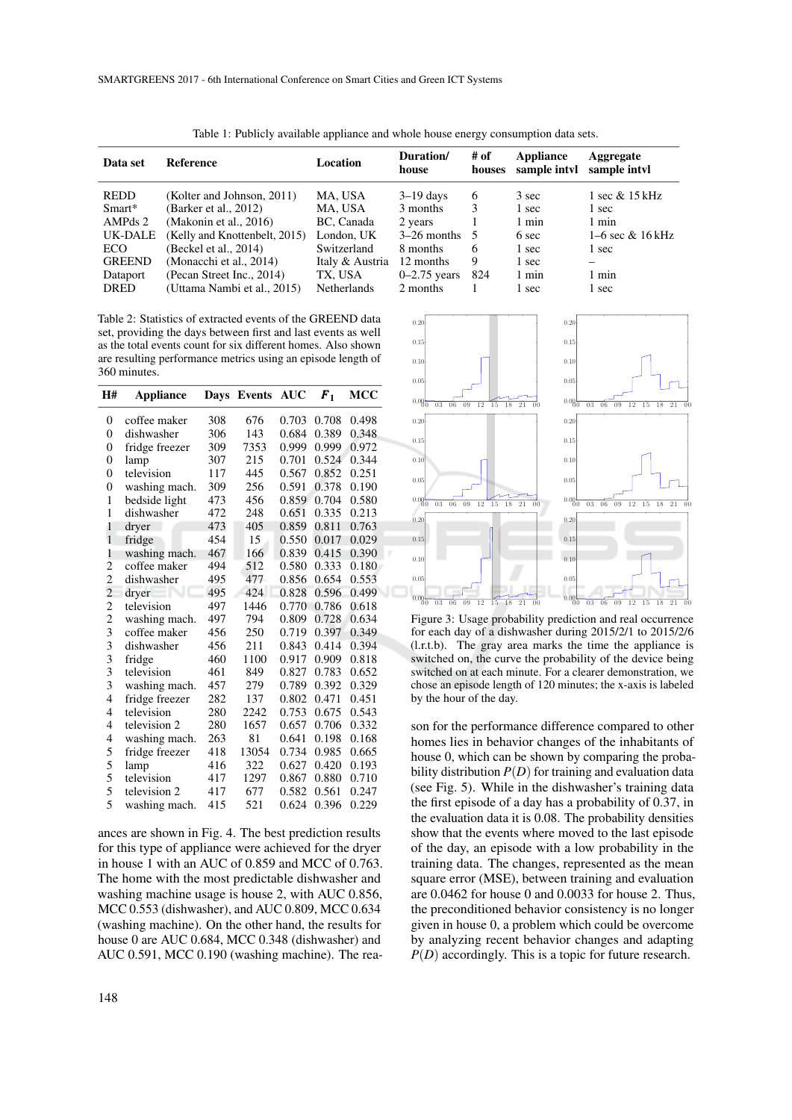| Data set       | Reference                     | Location           | Duration/<br>house | # of<br>houses | Appliance<br>sample intyl | Aggregate<br>sample intyl |
|----------------|-------------------------------|--------------------|--------------------|----------------|---------------------------|---------------------------|
| <b>REDD</b>    | (Kolter and Johnson, 2011)    | MA, USA            | $3-19$ days        | 6              | 3 sec                     | 1 sec & 15 kHz            |
| Smart*         | (Barker et al., 2012)         | MA, USA            | 3 months           | 3              | 1 sec                     | 1 sec                     |
| AMPds 2        | (Makonin et al., $2016$ )     | BC. Canada         | 2 years            |                | 1 min                     | 1 min                     |
| <b>UK-DALE</b> | (Kelly and Knottenbelt, 2015) | London. UK         | $3-26$ months $5$  |                | 6 sec                     | $1-6$ sec & $16$ kHz      |
| ECO            | (Beckel et al., 2014)         | Switzerland        | 8 months           | 6              | 1 sec                     | 1 sec                     |
| <b>GREEND</b>  | (Monacchi et al., 2014)       | Italy & Austria    | 12 months          | 9              | 1 sec                     |                           |
| Dataport       | (Pecan Street Inc., 2014)     | TX. USA            | $0-2.75$ years     | 824            | 1 min                     | 1 min                     |
| <b>DRED</b>    | (Uttama Nambi et al., 2015)   | <b>Netherlands</b> | 2 months           |                | 1 sec                     | 1 sec                     |
|                |                               |                    |                    |                |                           |                           |

Table 1: Publicly available appliance and whole house energy consumption data sets.

Table 2: Statistics of extracted events of the GREEND data set, providing the days between first and last events as well as the total events count for six different homes. Also shown are resulting performance metrics using an episode length of 360 minutes.

| H#             | Appliance      | Days | Events | <b>AUC</b> | $F_1$ | мсс   |
|----------------|----------------|------|--------|------------|-------|-------|
| 0              | coffee maker   | 308  | 676    | 0.703      | 0.708 | 0.498 |
| $\overline{0}$ | dishwasher     | 306  | 143    | 0.684      | 0.389 | 0.348 |
| $\overline{0}$ | fridge freezer | 309  | 7353   | 0.999      | 0.999 | 0.972 |
| $\overline{0}$ | lamp           | 307  | 215    | 0.701      | 0.524 | 0.344 |
| $\overline{0}$ | television     | 117  | 445    | 0.567      | 0.852 | 0.251 |
| 0              | washing mach.  | 309  | 256    | 0.591      | 0.378 | 0.190 |
| 1              | bedside light  | 473  | 456    | 0.859      | 0.704 | 0.580 |
| $\mathbf{1}$   | dishwasher     | 472  | 248    | 0.651      | 0.335 | 0.213 |
| $\mathbf{1}$   | dryer          | 473  | 405    | 0.859      | 0.811 | 0.763 |
| $\mathbf{1}$   | fridge         | 454  | 15     | 0.550      | 0.017 | 0.029 |
| $\mathbf{1}$   | washing mach.  | 467  | 166    | 0.839      | 0.415 | 0.390 |
| 2              | coffee maker   | 494  | 512    | 0.580      | 0.333 | 0.180 |
| $\overline{c}$ | dishwasher     | 495  | 477    | 0.856      | 0.654 | 0.553 |
| $\overline{c}$ | dryer          | 495  | 424    | 0.828      | 0.596 | 0.499 |
| $\overline{c}$ | television     | 497  | 1446   | 0.770      | 0.786 | 0.618 |
| $\overline{c}$ | washing mach.  | 497  | 794    | 0.809      | 0.728 | 0.634 |
| 3              | coffee maker   | 456  | 250    | 0.719      | 0.397 | 0.349 |
| 3              | dishwasher     | 456  | 211    | 0.843      | 0.414 | 0.394 |
| 3              | fridge         | 460  | 1100   | 0.917      | 0.909 | 0.818 |
| 3              | television     | 461  | 849    | 0.827      | 0.783 | 0.652 |
| 3              | washing mach.  | 457  | 279    | 0.789      | 0.392 | 0.329 |
| 4              | fridge freezer | 282  | 137    | 0.802      | 0.471 | 0.451 |
| 4              | television     | 280  | 2242   | 0.753      | 0.675 | 0.543 |
| 4              | television 2   | 280  | 1657   | 0.657      | 0.706 | 0.332 |
| 4              | washing mach.  | 263  | 81     | 0.641      | 0.198 | 0.168 |
| 5              | fridge freezer | 418  | 13054  | 0.734      | 0.985 | 0.665 |
| 5              | lamp           | 416  | 322    | 0.627      | 0.420 | 0.193 |
| 5              | television     | 417  | 1297   | 0.867      | 0.880 | 0.710 |
| 5              | television 2   | 417  | 677    | 0.582      | 0.561 | 0.247 |
| 5              | washing mach.  | 415  | 521    | 0.624      | 0.396 | 0.229 |

ances are shown in Fig. 4. The best prediction results for this type of appliance were achieved for the dryer in house 1 with an AUC of 0.859 and MCC of 0.763. The home with the most predictable dishwasher and washing machine usage is house 2, with AUC 0.856, MCC 0.553 (dishwasher), and AUC 0.809, MCC 0.634 (washing machine). On the other hand, the results for house 0 are AUC 0.684, MCC 0.348 (dishwasher) and AUC 0.591, MCC 0.190 (washing machine). The rea-



Figure 3: Usage probability prediction and real occurrence for each day of a dishwasher during 2015/2/1 to 2015/2/6 (l.r.t.b). The gray area marks the time the appliance is switched on, the curve the probability of the device being switched on at each minute. For a clearer demonstration, we chose an episode length of 120 minutes; the x-axis is labeled by the hour of the day.

son for the performance difference compared to other homes lies in behavior changes of the inhabitants of house 0, which can be shown by comparing the probability distribution  $P(D)$  for training and evaluation data (see Fig. 5). While in the dishwasher's training data the first episode of a day has a probability of 0.37, in the evaluation data it is 0.08. The probability densities show that the events where moved to the last episode of the day, an episode with a low probability in the training data. The changes, represented as the mean square error (MSE), between training and evaluation are 0.0462 for house 0 and 0.0033 for house 2. Thus, the preconditioned behavior consistency is no longer given in house 0, a problem which could be overcome by analyzing recent behavior changes and adapting *P*(*D*) accordingly. This is a topic for future research.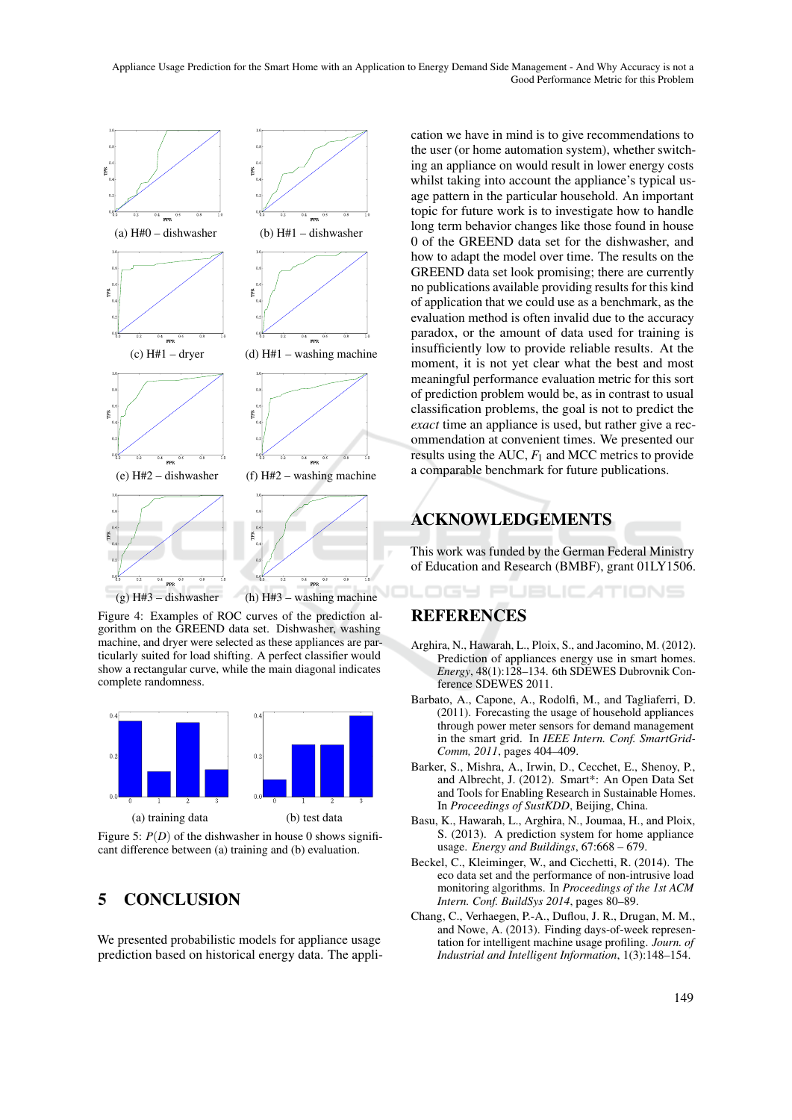

Figure 4: Examples of ROC curves of the prediction algorithm on the GREEND data set. Dishwasher, washing machine, and dryer were selected as these appliances are particularly suited for load shifting. A perfect classifier would show a rectangular curve, while the main diagonal indicates complete randomness.



Figure 5:  $P(D)$  of the dishwasher in house 0 shows significant difference between (a) training and (b) evaluation.

# 5 CONCLUSION

We presented probabilistic models for appliance usage prediction based on historical energy data. The application we have in mind is to give recommendations to the user (or home automation system), whether switching an appliance on would result in lower energy costs whilst taking into account the appliance's typical usage pattern in the particular household. An important topic for future work is to investigate how to handle long term behavior changes like those found in house 0 of the GREEND data set for the dishwasher, and how to adapt the model over time. The results on the GREEND data set look promising; there are currently no publications available providing results for this kind of application that we could use as a benchmark, as the evaluation method is often invalid due to the accuracy paradox, or the amount of data used for training is insufficiently low to provide reliable results. At the moment, it is not yet clear what the best and most meaningful performance evaluation metric for this sort of prediction problem would be, as in contrast to usual classification problems, the goal is not to predict the *exact* time an appliance is used, but rather give a recommendation at convenient times. We presented our results using the AUC, *F*<sup>1</sup> and MCC metrics to provide a comparable benchmark for future publications.

# ACKNOWLEDGEMENTS

This work was funded by the German Federal Ministry of Education and Research (BMBF), grant 01LY1506.

OGY PUBLICATIONS

# REFERENCES

- Arghira, N., Hawarah, L., Ploix, S., and Jacomino, M. (2012). Prediction of appliances energy use in smart homes. *Energy*, 48(1):128–134. 6th SDEWES Dubrovnik Conference SDEWES 2011.
- Barbato, A., Capone, A., Rodolfi, M., and Tagliaferri, D. (2011). Forecasting the usage of household appliances through power meter sensors for demand management in the smart grid. In *IEEE Intern. Conf. SmartGrid-Comm, 2011*, pages 404–409.
- Barker, S., Mishra, A., Irwin, D., Cecchet, E., Shenoy, P., and Albrecht, J. (2012). Smart\*: An Open Data Set and Tools for Enabling Research in Sustainable Homes. In *Proceedings of SustKDD*, Beijing, China.
- Basu, K., Hawarah, L., Arghira, N., Joumaa, H., and Ploix, S. (2013). A prediction system for home appliance usage. *Energy and Buildings*, 67:668 – 679.
- Beckel, C., Kleiminger, W., and Cicchetti, R. (2014). The eco data set and the performance of non-intrusive load monitoring algorithms. In *Proceedings of the 1st ACM Intern. Conf. BuildSys 2014*, pages 80–89.
- Chang, C., Verhaegen, P.-A., Duflou, J. R., Drugan, M. M., and Nowe, A. (2013). Finding days-of-week representation for intelligent machine usage profiling. *Journ. of Industrial and Intelligent Information*, 1(3):148–154.